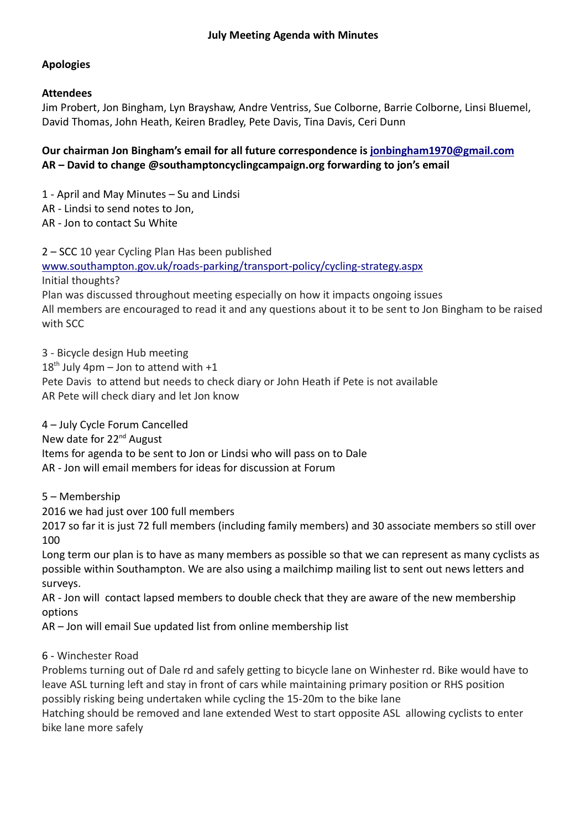# **Apologies**

# **Attendees**

Jim Probert, Jon Bingham, Lyn Brayshaw, Andre Ventriss, Sue Colborne, Barrie Colborne, Linsi Bluemel, David Thomas, John Heath, Keiren Bradley, Pete Davis, Tina Davis, Ceri Dunn

# **Our chairman Jon Bingham's email for all future correspondence is jonbingham1970@gmail.com AR – David to change @southamptoncyclingcampaign.org forwarding to jon's email**

1 - April and May Minutes – Su and Lindsi

AR - Lindsi to send notes to Jon,

AR - Jon to contact Su White

2 – SCC 10 year Cycling Plan Has been published

www.southampton.gov.uk/roads-parking/transport-policy/cycling-strategy.aspx

Initial thoughts?

Plan was discussed throughout meeting especially on how it impacts ongoing issues All members are encouraged to read it and any questions about it to be sent to Jon Bingham to be raised with SCC

3 - Bicycle design Hub meeting  $18<sup>th</sup>$  July 4pm – Jon to attend with +1 Pete Davis to attend but needs to check diary or John Heath if Pete is not available AR Pete will check diary and let Jon know

4 – July Cycle Forum Cancelled New date for 22<sup>nd</sup> August Items for agenda to be sent to Jon or Lindsi who will pass on to Dale AR - Jon will email members for ideas for discussion at Forum

5 – Membership

2016 we had just over 100 full members

2017 so far it is just 72 full members (including family members) and 30 associate members so still over 100

Long term our plan is to have as many members as possible so that we can represent as many cyclists as possible within Southampton. We are also using a mailchimp mailing list to sent out news letters and surveys.

AR - Jon will contact lapsed members to double check that they are aware of the new membership options

AR – Jon will email Sue updated list from online membership list

# 6 - Winchester Road

Problems turning out of Dale rd and safely getting to bicycle lane on Winhester rd. Bike would have to leave ASL turning left and stay in front of cars while maintaining primary position or RHS position possibly risking being undertaken while cycling the 15-20m to the bike lane

Hatching should be removed and lane extended West to start opposite ASL allowing cyclists to enter bike lane more safely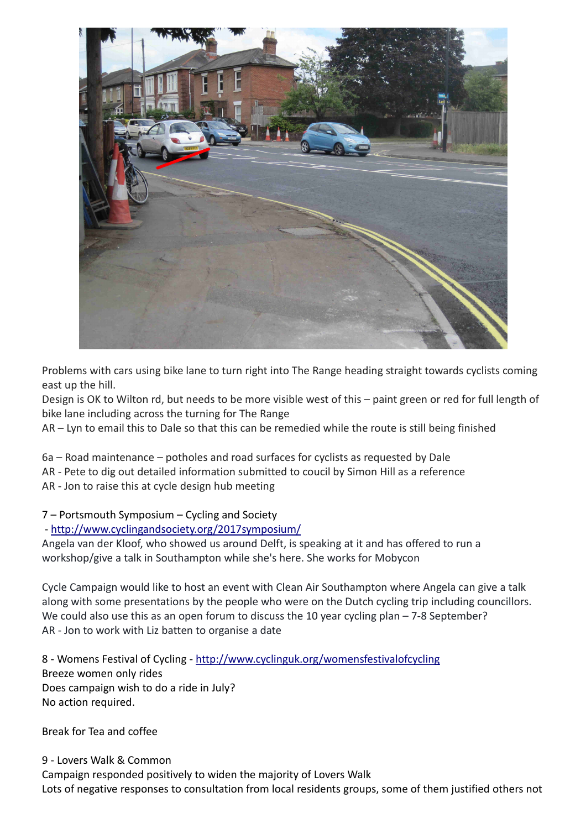

Problems with cars using bike lane to turn right into The Range heading straight towards cyclists coming east up the hill.

Design is OK to Wilton rd, but needs to be more visible west of this – paint green or red for full length of bike lane including across the turning for The Range

AR – Lyn to email this to Dale so that this can be remedied while the route is still being finished

6a – Road maintenance – potholes and road surfaces for cyclists as requested by Dale AR - Pete to dig out detailed information submitted to coucil by Simon Hill as a reference

AR - Jon to raise this at cycle design hub meeting

#### 7 – Portsmouth Symposium – Cycling and Society

#### - http://www.cyclingandsociety.org/2017symposium/

Angela van der Kloof, who showed us around Delft, is speaking at it and has offered to run a workshop/give a talk in Southampton while she's here. She works for Mobycon

Cycle Campaign would like to host an event with Clean Air Southampton where Angela can give a talk along with some presentations by the people who were on the Dutch cycling trip including councillors. We could also use this as an open forum to discuss the 10 year cycling plan – 7-8 September? AR - Jon to work with Liz batten to organise a date

8 - Womens Festival of Cycling - http://www.cyclinguk.org/womensfestivalofcycling Breeze women only rides Does campaign wish to do a ride in July? No action required.

Break for Tea and coffee

9 - Lovers Walk & Common Campaign responded positively to widen the majority of Lovers Walk Lots of negative responses to consultation from local residents groups, some of them justified others not